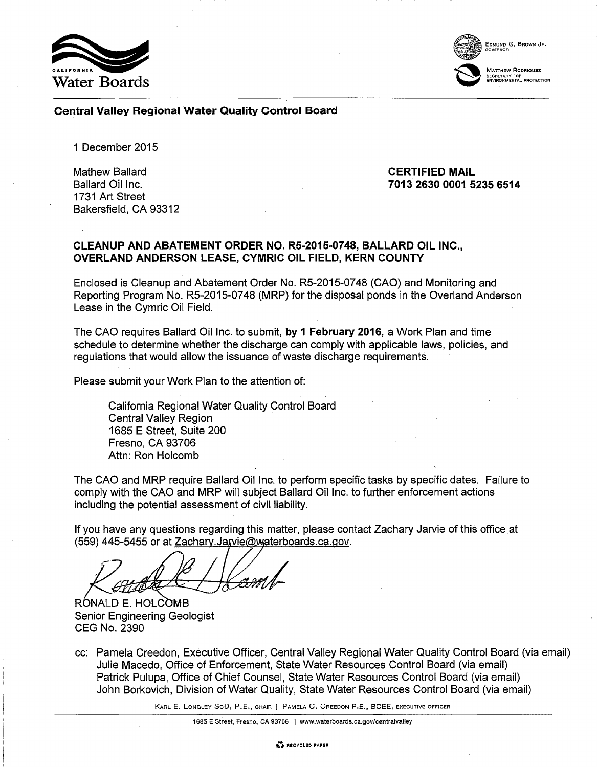



EDMUND G. BROWN JR. GOVERNOR

Central Valley Regional Water Quality Control Board

1 December 2015

Mathew Ballard Ballard Oil Inc. 1731 Art Street Bakersfield, CA 93312

#### CERTIFIED MAIL 7013 2630 0001 5235 6514

### CLEANUP AND ABATEMENT ORDER NO. R5-2015-0748, BALLARD OIL INC., OVERLAND ANDERSON LEASE, CYMRIC OIL FIELD, KERN COUNTY

Enclosed is Cleanup and Abatement Order No. R5-2015-07 48 (CAO) and Monitoring and Reporting Program No. R5-2015-0748 (MRP) for the disposal ponds in the Overland Anderson Lease in the Cymric Oil Field.

The CAO requires Ballard Oil Inc. to submit, by 1 February 2016, a Work Plan and time schedule to determine whether the discharge can comply with applicable laws, policies, and regulations that would allow the issuance of waste discharge requirements.

Please submit your Work Plan to the attention of:

California Regional Water Quality Control Board Central Valley Region 1685 E Street, Suite 200 Fresno, CA 93706 Attn: Ron Holcomb

The CAO and MRP require Ballard Oil Inc. to perform specific tasks by specific dates. Failure to comply with the CAO and MRP will subject Ballard Oil Inc. to further enforcement actions including the potential assessment of civil liability.

If you have any questions regarding this matter, please contact Zachary Jarvie of this office at (559) 445-5455 or at Zachary. Jarvie@waterboards.ca.gov.

RÓNALD E. HOLCOMB Senior Engineering Geologist CEG No. 2390

cc: Pamela Creedon, Executive Officer, Central Valley Regional Water Quality Control Board (via email) Julie Macedo, Office of Enforcement, State Water Resources Control Board (via email) Patrick Pulupa, Office of Chief Counsel, State Water Resources Control Board (via email) John Borkovich, Division of Water Quality, State Water Resources Control Board (via email)

KARL E. LONGLEY SeD, P.E., CHAIR I PAMELA C. CREEDON P.E., BCEE, EXECUTIVE OFFICER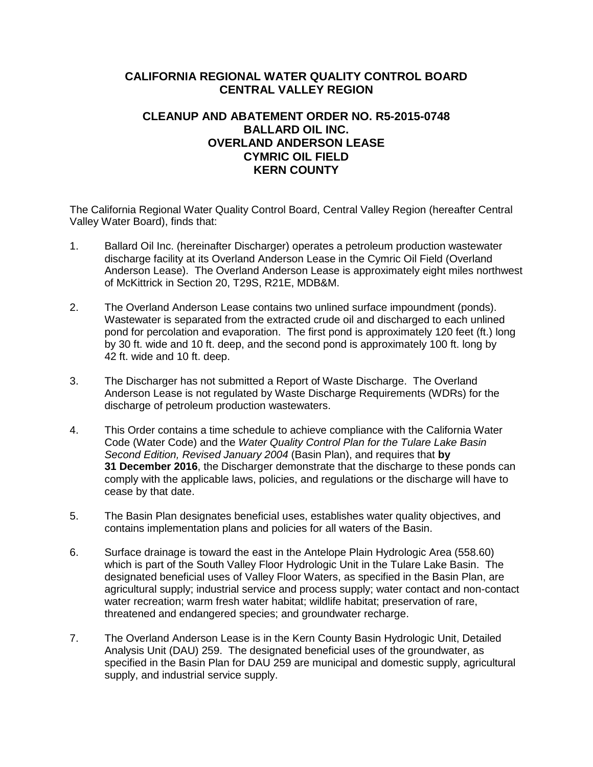# **CALIFORNIA REGIONAL WATER QUALITY CONTROL BOARD CENTRAL VALLEY REGION**

# **CLEANUP AND ABATEMENT ORDER NO. R5-2015-0748 BALLARD OIL INC. OVERLAND ANDERSON LEASE CYMRIC OIL FIELD KERN COUNTY**

The California Regional Water Quality Control Board, Central Valley Region (hereafter Central Valley Water Board), finds that:

- 1. Ballard Oil Inc. (hereinafter Discharger) operates a petroleum production wastewater discharge facility at its Overland Anderson Lease in the Cymric Oil Field (Overland Anderson Lease). The Overland Anderson Lease is approximately eight miles northwest of McKittrick in Section 20, T29S, R21E, MDB&M.
- 2. The Overland Anderson Lease contains two unlined surface impoundment (ponds). Wastewater is separated from the extracted crude oil and discharged to each unlined pond for percolation and evaporation. The first pond is approximately 120 feet (ft.) long by 30 ft. wide and 10 ft. deep, and the second pond is approximately 100 ft. long by 42 ft. wide and 10 ft. deep.
- 3. The Discharger has not submitted a Report of Waste Discharge. The Overland Anderson Lease is not regulated by Waste Discharge Requirements (WDRs) for the discharge of petroleum production wastewaters.
- 4. This Order contains a time schedule to achieve compliance with the California Water Code (Water Code) and the *Water Quality Control Plan for the Tulare Lake Basin Second Edition, Revised January 2004* (Basin Plan), and requires that **by 31 December 2016**, the Discharger demonstrate that the discharge to these ponds can comply with the applicable laws, policies, and regulations or the discharge will have to cease by that date.
- 5. The Basin Plan designates beneficial uses, establishes water quality objectives, and contains implementation plans and policies for all waters of the Basin.
- 6. Surface drainage is toward the east in the Antelope Plain Hydrologic Area (558.60) which is part of the South Valley Floor Hydrologic Unit in the Tulare Lake Basin. The designated beneficial uses of Valley Floor Waters, as specified in the Basin Plan, are agricultural supply; industrial service and process supply; water contact and non-contact water recreation; warm fresh water habitat; wildlife habitat; preservation of rare, threatened and endangered species; and groundwater recharge.
- 7. The Overland Anderson Lease is in the Kern County Basin Hydrologic Unit, Detailed Analysis Unit (DAU) 259. The designated beneficial uses of the groundwater, as specified in the Basin Plan for DAU 259 are municipal and domestic supply, agricultural supply, and industrial service supply.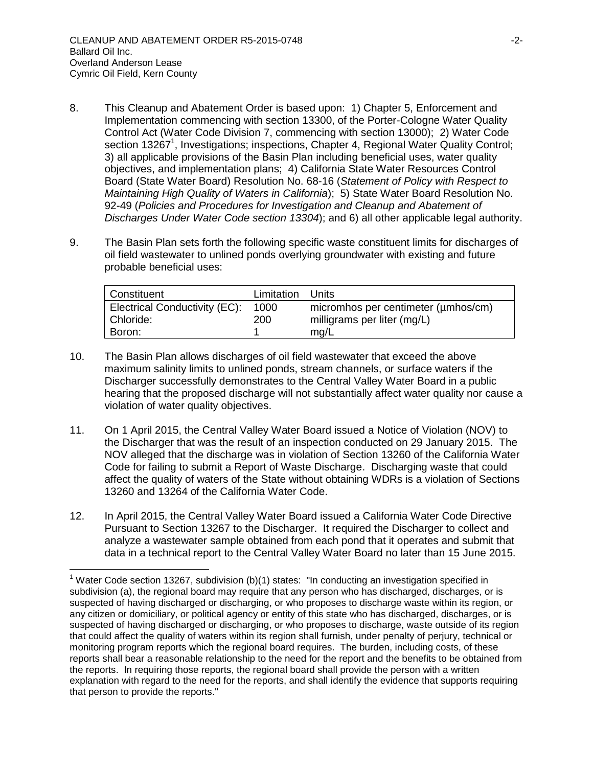$\overline{a}$ 

- 8. This Cleanup and Abatement Order is based upon: 1) Chapter 5, Enforcement and Implementation commencing with section 13300, of the Porter-Cologne Water Quality Control Act (Water Code Division 7, commencing with section 13000); 2) Water Code section 13267<sup>1</sup>, Investigations; inspections, Chapter 4, Regional Water Quality Control; 3) all applicable provisions of the Basin Plan including beneficial uses, water quality objectives, and implementation plans; 4) California State Water Resources Control Board (State Water Board) Resolution No. 68-16 (*Statement of Policy with Respect to Maintaining High Quality of Waters in California*); 5) State Water Board Resolution No. 92-49 (*Policies and Procedures for Investigation and Cleanup and Abatement of Discharges Under Water Code section 13304*); and 6) all other applicable legal authority.
- 9. The Basin Plan sets forth the following specific waste constituent limits for discharges of oil field wastewater to unlined ponds overlying groundwater with existing and future probable beneficial uses:

| Constituent                                | Limitation  | – Units                                                            |
|--------------------------------------------|-------------|--------------------------------------------------------------------|
| Electrical Conductivity (EC):<br>Chloride: | 1000<br>200 | micromhos per centimeter (umhos/cm)<br>milligrams per liter (mg/L) |
| Boron:                                     |             | mg/L                                                               |

- 10. The Basin Plan allows discharges of oil field wastewater that exceed the above maximum salinity limits to unlined ponds, stream channels, or surface waters if the Discharger successfully demonstrates to the Central Valley Water Board in a public hearing that the proposed discharge will not substantially affect water quality nor cause a violation of water quality objectives.
- 11. On 1 April 2015, the Central Valley Water Board issued a Notice of Violation (NOV) to the Discharger that was the result of an inspection conducted on 29 January 2015. The NOV alleged that the discharge was in violation of Section 13260 of the California Water Code for failing to submit a Report of Waste Discharge. Discharging waste that could affect the quality of waters of the State without obtaining WDRs is a violation of Sections 13260 and 13264 of the California Water Code.
- 12. In April 2015, the Central Valley Water Board issued a California Water Code Directive Pursuant to Section 13267 to the Discharger. It required the Discharger to collect and analyze a wastewater sample obtained from each pond that it operates and submit that data in a technical report to the Central Valley Water Board no later than 15 June 2015.

<sup>&</sup>lt;sup>1</sup> Water Code section 13267, subdivision (b)(1) states: "In conducting an investigation specified in subdivision (a), the regional board may require that any person who has discharged, discharges, or is suspected of having discharged or discharging, or who proposes to discharge waste within its region, or any citizen or domiciliary, or political agency or entity of this state who has discharged, discharges, or is suspected of having discharged or discharging, or who proposes to discharge, waste outside of its region that could affect the quality of waters within its region shall furnish, under penalty of perjury, technical or monitoring program reports which the regional board requires. The burden, including costs, of these reports shall bear a reasonable relationship to the need for the report and the benefits to be obtained from the reports. In requiring those reports, the regional board shall provide the person with a written explanation with regard to the need for the reports, and shall identify the evidence that supports requiring that person to provide the reports."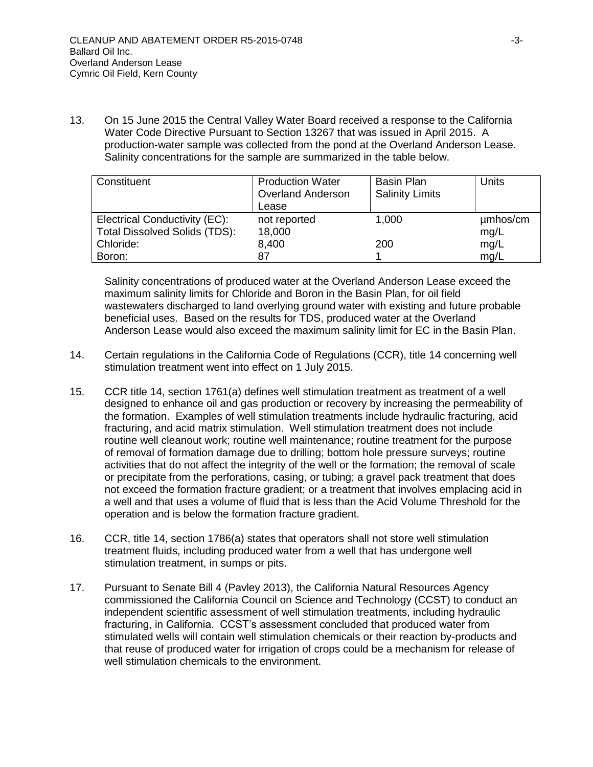13. On 15 June 2015 the Central Valley Water Board received a response to the California Water Code Directive Pursuant to Section 13267 that was issued in April 2015. A production-water sample was collected from the pond at the Overland Anderson Lease. Salinity concentrations for the sample are summarized in the table below.

| Constituent                          | <b>Production Water</b><br><b>Overland Anderson</b><br>Lease | <b>Basin Plan</b><br><b>Salinity Limits</b> | <b>Units</b> |
|--------------------------------------|--------------------------------------------------------------|---------------------------------------------|--------------|
| Electrical Conductivity (EC):        | not reported                                                 | 1,000                                       | umhos/cm     |
| <b>Total Dissolved Solids (TDS):</b> | 18,000                                                       |                                             | mg/L         |
| Chloride:                            | 8,400                                                        | 200                                         | mg/L         |
| Boron:                               | 87                                                           |                                             | mq/L         |

Salinity concentrations of produced water at the Overland Anderson Lease exceed the maximum salinity limits for Chloride and Boron in the Basin Plan, for oil field wastewaters discharged to land overlying ground water with existing and future probable beneficial uses. Based on the results for TDS, produced water at the Overland Anderson Lease would also exceed the maximum salinity limit for EC in the Basin Plan.

- 14. Certain regulations in the California Code of Regulations (CCR), title 14 concerning well stimulation treatment went into effect on 1 July 2015.
- 15. CCR title 14, section 1761(a) defines well stimulation treatment as treatment of a well designed to enhance oil and gas production or recovery by increasing the permeability of the formation. Examples of well stimulation treatments include hydraulic fracturing, acid fracturing, and acid matrix stimulation. Well stimulation treatment does not include routine well cleanout work; routine well maintenance; routine treatment for the purpose of removal of formation damage due to drilling; bottom hole pressure surveys; routine activities that do not affect the integrity of the well or the formation; the removal of scale or precipitate from the perforations, casing, or tubing; a gravel pack treatment that does not exceed the formation fracture gradient; or a treatment that involves emplacing acid in a well and that uses a volume of fluid that is less than the Acid Volume Threshold for the operation and is below the formation fracture gradient.
- 16. CCR, title 14, section 1786(a) states that operators shall not store well stimulation treatment fluids, including produced water from a well that has undergone well stimulation treatment, in sumps or pits.
- 17. Pursuant to Senate Bill 4 (Pavley 2013), the California Natural Resources Agency commissioned the California Council on Science and Technology (CCST) to conduct an independent scientific assessment of well stimulation treatments, including hydraulic fracturing, in California. CCST's assessment concluded that produced water from stimulated wells will contain well stimulation chemicals or their reaction by-products and that reuse of produced water for irrigation of crops could be a mechanism for release of well stimulation chemicals to the environment.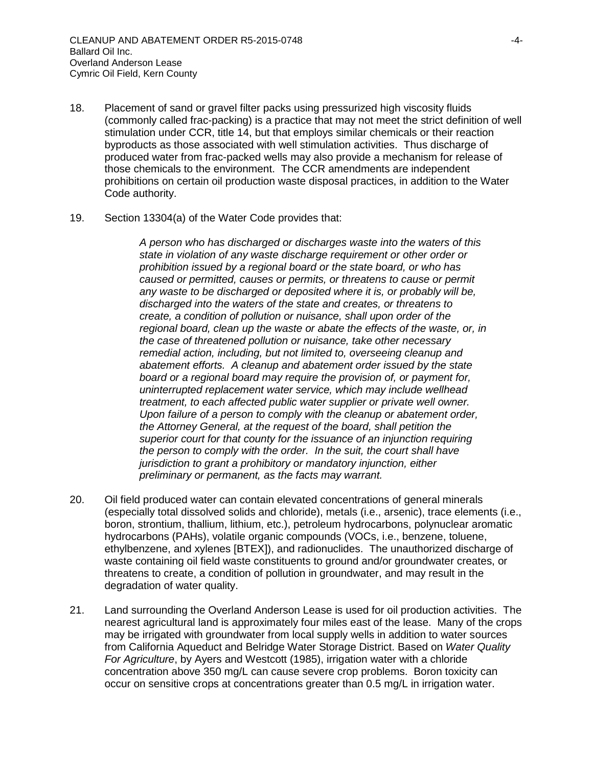- 18. Placement of sand or gravel filter packs using pressurized high viscosity fluids (commonly called frac-packing) is a practice that may not meet the strict definition of well stimulation under CCR, title 14, but that employs similar chemicals or their reaction byproducts as those associated with well stimulation activities. Thus discharge of produced water from frac-packed wells may also provide a mechanism for release of those chemicals to the environment. The CCR amendments are independent prohibitions on certain oil production waste disposal practices, in addition to the Water Code authority.
- 19. Section 13304(a) of the Water Code provides that:

*A person who has discharged or discharges waste into the waters of this state in violation of any waste discharge requirement or other order or prohibition issued by a regional board or the state board, or who has caused or permitted, causes or permits, or threatens to cause or permit any waste to be discharged or deposited where it is, or probably will be, discharged into the waters of the state and creates, or threatens to create, a condition of pollution or nuisance, shall upon order of the regional board, clean up the waste or abate the effects of the waste, or, in the case of threatened pollution or nuisance, take other necessary remedial action, including, but not limited to, overseeing cleanup and abatement efforts. A cleanup and abatement order issued by the state board or a regional board may require the provision of, or payment for, uninterrupted replacement water service, which may include wellhead treatment, to each affected public water supplier or private well owner. Upon failure of a person to comply with the cleanup or abatement order, the Attorney General, at the request of the board, shall petition the superior court for that county for the issuance of an injunction requiring the person to comply with the order. In the suit, the court shall have jurisdiction to grant a prohibitory or mandatory injunction, either preliminary or permanent, as the facts may warrant.*

- 20. Oil field produced water can contain elevated concentrations of general minerals (especially total dissolved solids and chloride), metals (i.e., arsenic), trace elements (i.e., boron, strontium, thallium, lithium, etc.), petroleum hydrocarbons, polynuclear aromatic hydrocarbons (PAHs), volatile organic compounds (VOCs, i.e., benzene, toluene, ethylbenzene, and xylenes [BTEX]), and radionuclides. The unauthorized discharge of waste containing oil field waste constituents to ground and/or groundwater creates, or threatens to create, a condition of pollution in groundwater, and may result in the degradation of water quality.
- 21. Land surrounding the Overland Anderson Lease is used for oil production activities. The nearest agricultural land is approximately four miles east of the lease. Many of the crops may be irrigated with groundwater from local supply wells in addition to water sources from California Aqueduct and Belridge Water Storage District. Based on *Water Quality For Agriculture*, by Ayers and Westcott (1985), irrigation water with a chloride concentration above 350 mg/L can cause severe crop problems. Boron toxicity can occur on sensitive crops at concentrations greater than 0.5 mg/L in irrigation water.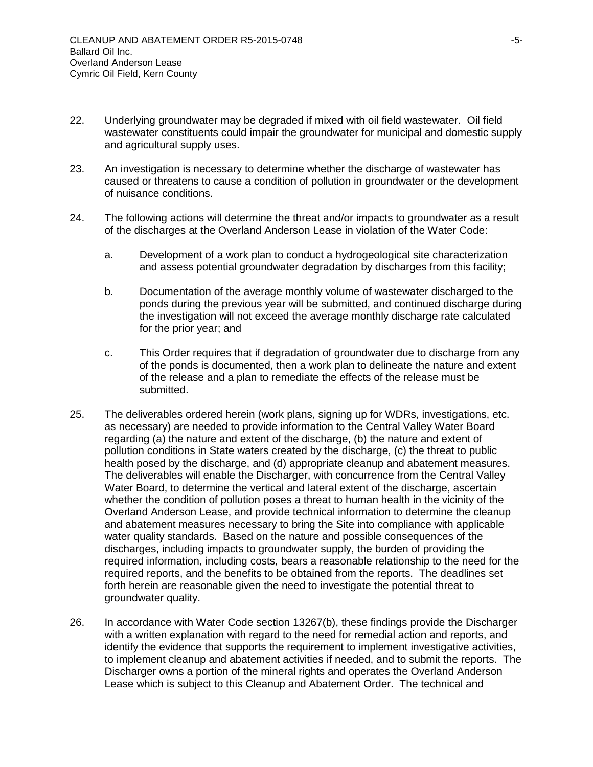- 22. Underlying groundwater may be degraded if mixed with oil field wastewater. Oil field wastewater constituents could impair the groundwater for municipal and domestic supply and agricultural supply uses.
- 23. An investigation is necessary to determine whether the discharge of wastewater has caused or threatens to cause a condition of pollution in groundwater or the development of nuisance conditions.
- 24. The following actions will determine the threat and/or impacts to groundwater as a result of the discharges at the Overland Anderson Lease in violation of the Water Code:
	- a. Development of a work plan to conduct a hydrogeological site characterization and assess potential groundwater degradation by discharges from this facility;
	- b. Documentation of the average monthly volume of wastewater discharged to the ponds during the previous year will be submitted, and continued discharge during the investigation will not exceed the average monthly discharge rate calculated for the prior year; and
	- c. This Order requires that if degradation of groundwater due to discharge from any of the ponds is documented, then a work plan to delineate the nature and extent of the release and a plan to remediate the effects of the release must be submitted.
- 25. The deliverables ordered herein (work plans, signing up for WDRs, investigations, etc. as necessary) are needed to provide information to the Central Valley Water Board regarding (a) the nature and extent of the discharge, (b) the nature and extent of pollution conditions in State waters created by the discharge, (c) the threat to public health posed by the discharge, and (d) appropriate cleanup and abatement measures. The deliverables will enable the Discharger, with concurrence from the Central Valley Water Board, to determine the vertical and lateral extent of the discharge, ascertain whether the condition of pollution poses a threat to human health in the vicinity of the Overland Anderson Lease, and provide technical information to determine the cleanup and abatement measures necessary to bring the Site into compliance with applicable water quality standards. Based on the nature and possible consequences of the discharges, including impacts to groundwater supply, the burden of providing the required information, including costs, bears a reasonable relationship to the need for the required reports, and the benefits to be obtained from the reports. The deadlines set forth herein are reasonable given the need to investigate the potential threat to groundwater quality.
- 26. In accordance with Water Code section 13267(b), these findings provide the Discharger with a written explanation with regard to the need for remedial action and reports, and identify the evidence that supports the requirement to implement investigative activities, to implement cleanup and abatement activities if needed, and to submit the reports. The Discharger owns a portion of the mineral rights and operates the Overland Anderson Lease which is subject to this Cleanup and Abatement Order. The technical and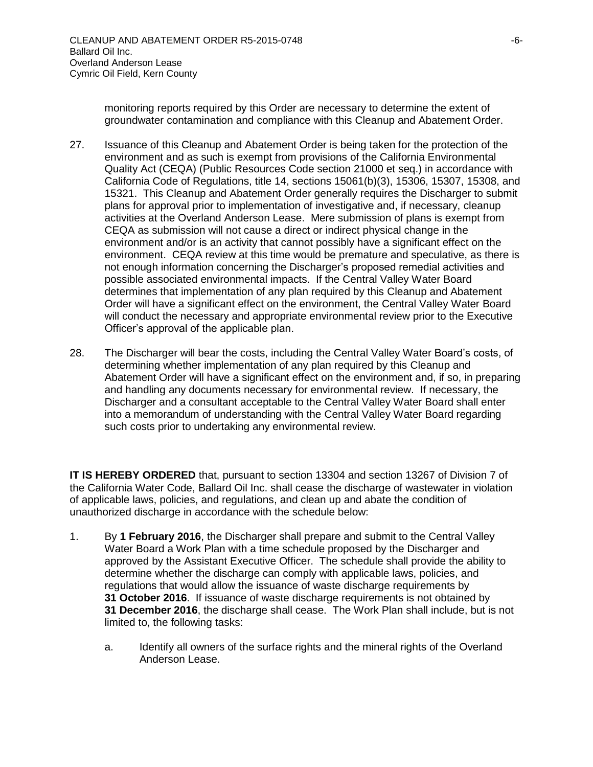monitoring reports required by this Order are necessary to determine the extent of groundwater contamination and compliance with this Cleanup and Abatement Order.

- 27. Issuance of this Cleanup and Abatement Order is being taken for the protection of the environment and as such is exempt from provisions of the California Environmental Quality Act (CEQA) (Public Resources Code section 21000 et seq.) in accordance with California Code of Regulations, title 14, sections 15061(b)(3), 15306, 15307, 15308, and 15321. This Cleanup and Abatement Order generally requires the Discharger to submit plans for approval prior to implementation of investigative and, if necessary, cleanup activities at the Overland Anderson Lease. Mere submission of plans is exempt from CEQA as submission will not cause a direct or indirect physical change in the environment and/or is an activity that cannot possibly have a significant effect on the environment. CEQA review at this time would be premature and speculative, as there is not enough information concerning the Discharger's proposed remedial activities and possible associated environmental impacts. If the Central Valley Water Board determines that implementation of any plan required by this Cleanup and Abatement Order will have a significant effect on the environment, the Central Valley Water Board will conduct the necessary and appropriate environmental review prior to the Executive Officer's approval of the applicable plan.
- 28. The Discharger will bear the costs, including the Central Valley Water Board's costs, of determining whether implementation of any plan required by this Cleanup and Abatement Order will have a significant effect on the environment and, if so, in preparing and handling any documents necessary for environmental review. If necessary, the Discharger and a consultant acceptable to the Central Valley Water Board shall enter into a memorandum of understanding with the Central Valley Water Board regarding such costs prior to undertaking any environmental review.

**IT IS HEREBY ORDERED** that, pursuant to section 13304 and section 13267 of Division 7 of the California Water Code, Ballard Oil Inc. shall cease the discharge of wastewater in violation of applicable laws, policies, and regulations, and clean up and abate the condition of unauthorized discharge in accordance with the schedule below:

- 1. By **1 February 2016**, the Discharger shall prepare and submit to the Central Valley Water Board a Work Plan with a time schedule proposed by the Discharger and approved by the Assistant Executive Officer. The schedule shall provide the ability to determine whether the discharge can comply with applicable laws, policies, and regulations that would allow the issuance of waste discharge requirements by **31 October 2016**. If issuance of waste discharge requirements is not obtained by **31 December 2016**, the discharge shall cease. The Work Plan shall include, but is not limited to, the following tasks:
	- a. Identify all owners of the surface rights and the mineral rights of the Overland Anderson Lease.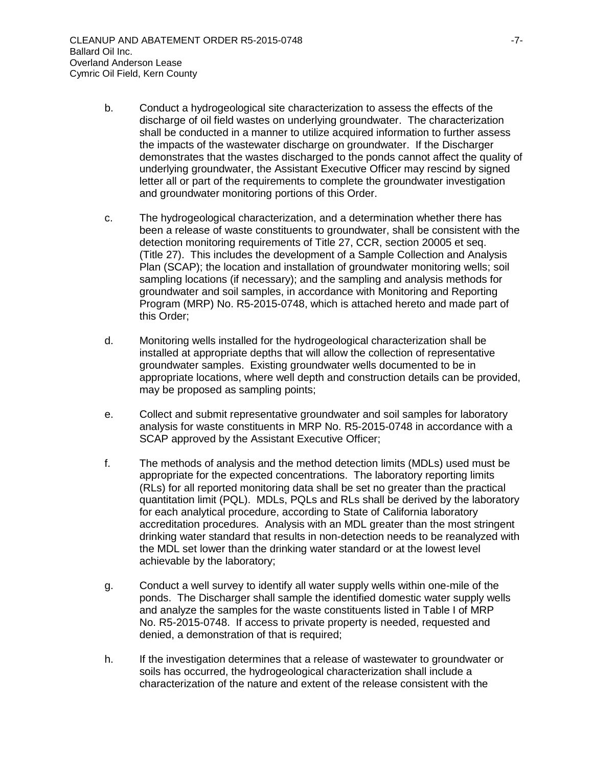- b. Conduct a hydrogeological site characterization to assess the effects of the discharge of oil field wastes on underlying groundwater. The characterization shall be conducted in a manner to utilize acquired information to further assess the impacts of the wastewater discharge on groundwater. If the Discharger demonstrates that the wastes discharged to the ponds cannot affect the quality of underlying groundwater, the Assistant Executive Officer may rescind by signed letter all or part of the requirements to complete the groundwater investigation and groundwater monitoring portions of this Order.
- c. The hydrogeological characterization, and a determination whether there has been a release of waste constituents to groundwater, shall be consistent with the detection monitoring requirements of Title 27, CCR, section 20005 et seq. (Title 27). This includes the development of a Sample Collection and Analysis Plan (SCAP); the location and installation of groundwater monitoring wells; soil sampling locations (if necessary); and the sampling and analysis methods for groundwater and soil samples, in accordance with Monitoring and Reporting Program (MRP) No. R5-2015-0748, which is attached hereto and made part of this Order;
- d. Monitoring wells installed for the hydrogeological characterization shall be installed at appropriate depths that will allow the collection of representative groundwater samples. Existing groundwater wells documented to be in appropriate locations, where well depth and construction details can be provided, may be proposed as sampling points;
- e. Collect and submit representative groundwater and soil samples for laboratory analysis for waste constituents in MRP No. R5-2015-0748 in accordance with a SCAP approved by the Assistant Executive Officer;
- f. The methods of analysis and the method detection limits (MDLs) used must be appropriate for the expected concentrations. The laboratory reporting limits (RLs) for all reported monitoring data shall be set no greater than the practical quantitation limit (PQL). MDLs, PQLs and RLs shall be derived by the laboratory for each analytical procedure, according to State of California laboratory accreditation procedures. Analysis with an MDL greater than the most stringent drinking water standard that results in non-detection needs to be reanalyzed with the MDL set lower than the drinking water standard or at the lowest level achievable by the laboratory;
- g. Conduct a well survey to identify all water supply wells within one-mile of the ponds. The Discharger shall sample the identified domestic water supply wells and analyze the samples for the waste constituents listed in Table I of MRP No. R5-2015-0748. If access to private property is needed, requested and denied, a demonstration of that is required;
- h. If the investigation determines that a release of wastewater to groundwater or soils has occurred, the hydrogeological characterization shall include a characterization of the nature and extent of the release consistent with the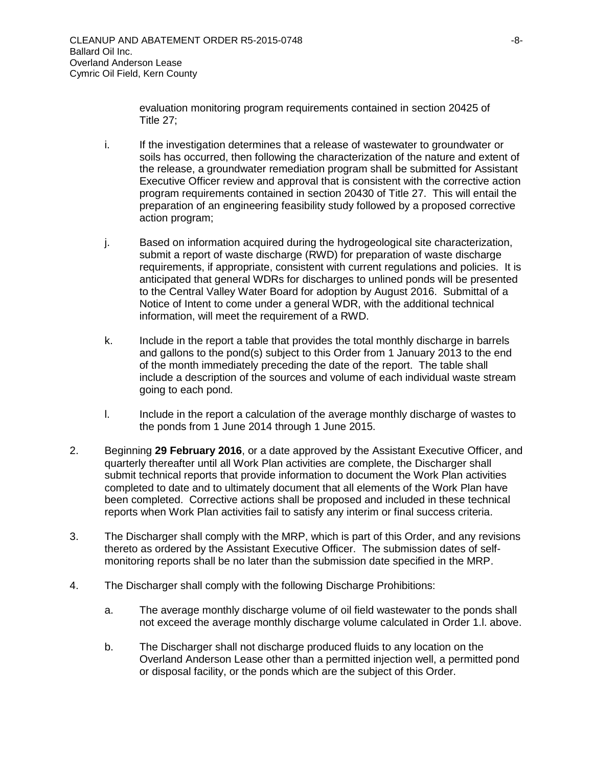evaluation monitoring program requirements contained in section 20425 of Title 27;

- i. If the investigation determines that a release of wastewater to groundwater or soils has occurred, then following the characterization of the nature and extent of the release, a groundwater remediation program shall be submitted for Assistant Executive Officer review and approval that is consistent with the corrective action program requirements contained in section 20430 of Title 27. This will entail the preparation of an engineering feasibility study followed by a proposed corrective action program;
- j. Based on information acquired during the hydrogeological site characterization, submit a report of waste discharge (RWD) for preparation of waste discharge requirements, if appropriate, consistent with current regulations and policies. It is anticipated that general WDRs for discharges to unlined ponds will be presented to the Central Valley Water Board for adoption by August 2016. Submittal of a Notice of Intent to come under a general WDR, with the additional technical information, will meet the requirement of a RWD.
- k. Include in the report a table that provides the total monthly discharge in barrels and gallons to the pond(s) subject to this Order from 1 January 2013 to the end of the month immediately preceding the date of the report. The table shall include a description of the sources and volume of each individual waste stream going to each pond.
- l. Include in the report a calculation of the average monthly discharge of wastes to the ponds from 1 June 2014 through 1 June 2015.
- 2. Beginning **29 February 2016**, or a date approved by the Assistant Executive Officer, and quarterly thereafter until all Work Plan activities are complete, the Discharger shall submit technical reports that provide information to document the Work Plan activities completed to date and to ultimately document that all elements of the Work Plan have been completed. Corrective actions shall be proposed and included in these technical reports when Work Plan activities fail to satisfy any interim or final success criteria.
- 3. The Discharger shall comply with the MRP, which is part of this Order, and any revisions thereto as ordered by the Assistant Executive Officer. The submission dates of selfmonitoring reports shall be no later than the submission date specified in the MRP.
- 4. The Discharger shall comply with the following Discharge Prohibitions:
	- a. The average monthly discharge volume of oil field wastewater to the ponds shall not exceed the average monthly discharge volume calculated in Order 1.l. above.
	- b. The Discharger shall not discharge produced fluids to any location on the Overland Anderson Lease other than a permitted injection well, a permitted pond or disposal facility, or the ponds which are the subject of this Order.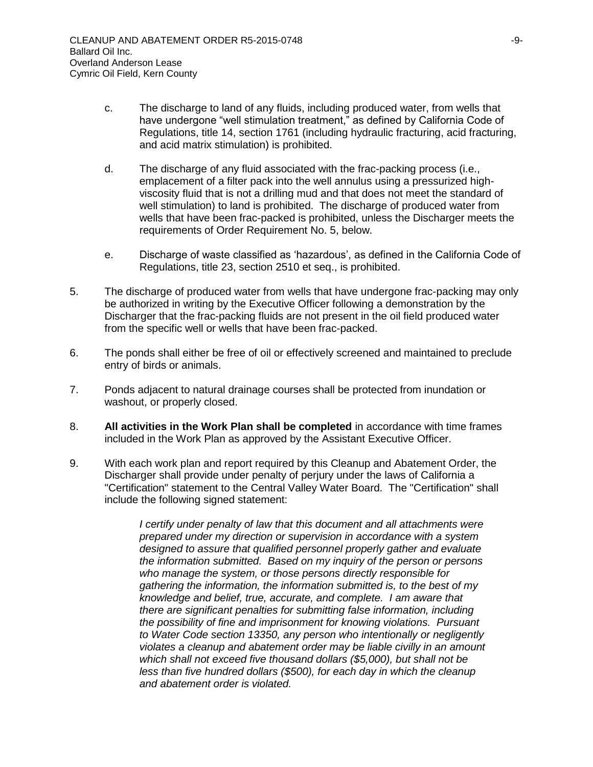- c. The discharge to land of any fluids, including produced water, from wells that have undergone "well stimulation treatment," as defined by California Code of Regulations, title 14, section 1761 (including hydraulic fracturing, acid fracturing, and acid matrix stimulation) is prohibited.
- d. The discharge of any fluid associated with the frac-packing process (i.e., emplacement of a filter pack into the well annulus using a pressurized highviscosity fluid that is not a drilling mud and that does not meet the standard of well stimulation) to land is prohibited. The discharge of produced water from wells that have been frac-packed is prohibited, unless the Discharger meets the requirements of Order Requirement No. 5, below.
- e. Discharge of waste classified as 'hazardous', as defined in the California Code of Regulations, title 23, section 2510 et seq., is prohibited.
- 5. The discharge of produced water from wells that have undergone frac-packing may only be authorized in writing by the Executive Officer following a demonstration by the Discharger that the frac-packing fluids are not present in the oil field produced water from the specific well or wells that have been frac-packed.
- 6. The ponds shall either be free of oil or effectively screened and maintained to preclude entry of birds or animals.
- 7. Ponds adjacent to natural drainage courses shall be protected from inundation or washout, or properly closed.
- 8. **All activities in the Work Plan shall be completed** in accordance with time frames included in the Work Plan as approved by the Assistant Executive Officer.
- 9. With each work plan and report required by this Cleanup and Abatement Order, the Discharger shall provide under penalty of perjury under the laws of California a "Certification" statement to the Central Valley Water Board. The "Certification" shall include the following signed statement:

*I certify under penalty of law that this document and all attachments were prepared under my direction or supervision in accordance with a system designed to assure that qualified personnel properly gather and evaluate the information submitted. Based on my inquiry of the person or persons who manage the system, or those persons directly responsible for gathering the information, the information submitted is, to the best of my knowledge and belief, true, accurate, and complete. I am aware that there are significant penalties for submitting false information, including the possibility of fine and imprisonment for knowing violations. Pursuant to Water Code section 13350, any person who intentionally or negligently violates a cleanup and abatement order may be liable civilly in an amount which shall not exceed five thousand dollars (\$5,000), but shall not be less than five hundred dollars (\$500), for each day in which the cleanup and abatement order is violated.*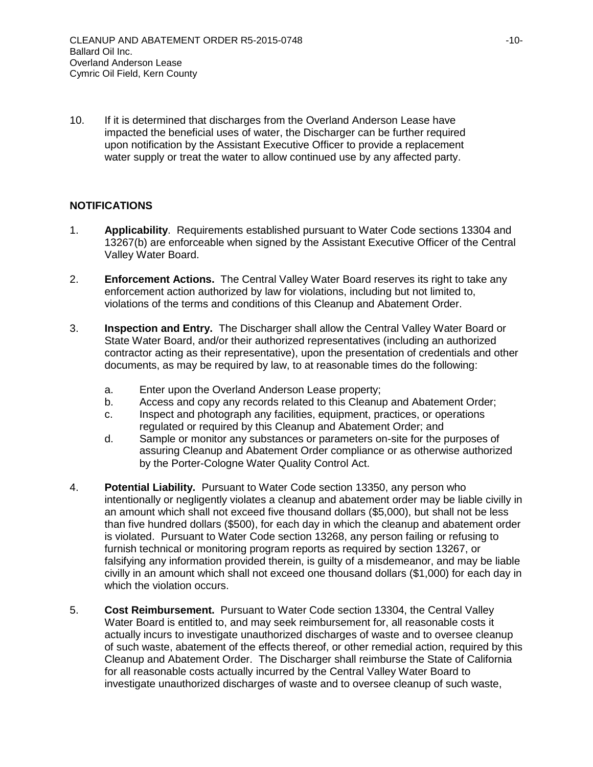10. If it is determined that discharges from the Overland Anderson Lease have impacted the beneficial uses of water, the Discharger can be further required upon notification by the Assistant Executive Officer to provide a replacement water supply or treat the water to allow continued use by any affected party.

## **NOTIFICATIONS**

- 1. **Applicability**. Requirements established pursuant to Water Code sections 13304 and 13267(b) are enforceable when signed by the Assistant Executive Officer of the Central Valley Water Board.
- 2. **Enforcement Actions.** The Central Valley Water Board reserves its right to take any enforcement action authorized by law for violations, including but not limited to, violations of the terms and conditions of this Cleanup and Abatement Order.
- 3. **Inspection and Entry.** The Discharger shall allow the Central Valley Water Board or State Water Board, and/or their authorized representatives (including an authorized contractor acting as their representative), upon the presentation of credentials and other documents, as may be required by law, to at reasonable times do the following:
	- a. Enter upon the Overland Anderson Lease property;
	- b. Access and copy any records related to this Cleanup and Abatement Order;
	- c. Inspect and photograph any facilities, equipment, practices, or operations regulated or required by this Cleanup and Abatement Order; and
	- d. Sample or monitor any substances or parameters on-site for the purposes of assuring Cleanup and Abatement Order compliance or as otherwise authorized by the Porter-Cologne Water Quality Control Act.
- 4. **Potential Liability.** Pursuant to Water Code section 13350, any person who intentionally or negligently violates a cleanup and abatement order may be liable civilly in an amount which shall not exceed five thousand dollars (\$5,000), but shall not be less than five hundred dollars (\$500), for each day in which the cleanup and abatement order is violated. Pursuant to Water Code section 13268, any person failing or refusing to furnish technical or monitoring program reports as required by section 13267, or falsifying any information provided therein, is guilty of a misdemeanor, and may be liable civilly in an amount which shall not exceed one thousand dollars (\$1,000) for each day in which the violation occurs.
- 5. **Cost Reimbursement.** Pursuant to Water Code section 13304, the Central Valley Water Board is entitled to, and may seek reimbursement for, all reasonable costs it actually incurs to investigate unauthorized discharges of waste and to oversee cleanup of such waste, abatement of the effects thereof, or other remedial action, required by this Cleanup and Abatement Order. The Discharger shall reimburse the State of California for all reasonable costs actually incurred by the Central Valley Water Board to investigate unauthorized discharges of waste and to oversee cleanup of such waste,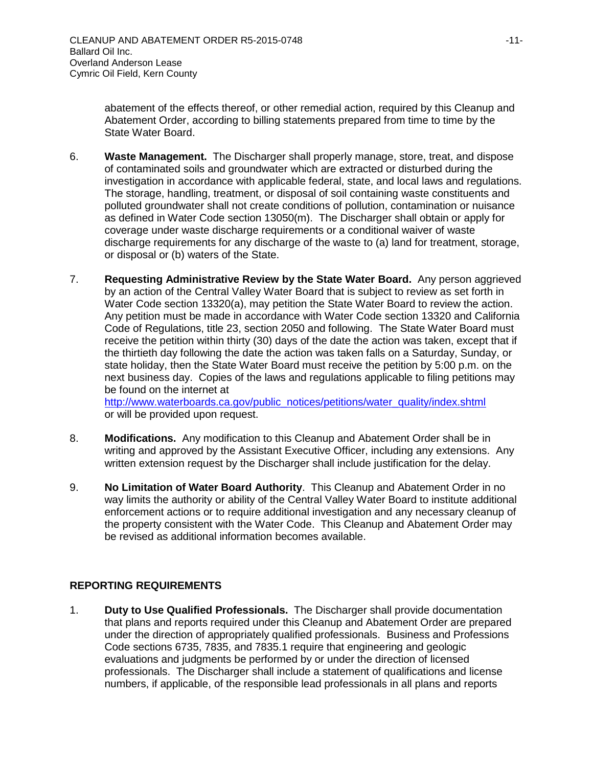abatement of the effects thereof, or other remedial action, required by this Cleanup and Abatement Order, according to billing statements prepared from time to time by the State Water Board.

- 6. **Waste Management.** The Discharger shall properly manage, store, treat, and dispose of contaminated soils and groundwater which are extracted or disturbed during the investigation in accordance with applicable federal, state, and local laws and regulations. The storage, handling, treatment, or disposal of soil containing waste constituents and polluted groundwater shall not create conditions of pollution, contamination or nuisance as defined in Water Code section 13050(m). The Discharger shall obtain or apply for coverage under waste discharge requirements or a conditional waiver of waste discharge requirements for any discharge of the waste to (a) land for treatment, storage, or disposal or (b) waters of the State.
- 7. **Requesting Administrative Review by the State Water Board.** Any person aggrieved by an action of the Central Valley Water Board that is subject to review as set forth in Water Code section 13320(a), may petition the State Water Board to review the action. Any petition must be made in accordance with Water Code section 13320 and California Code of Regulations, title 23, section 2050 and following. The State Water Board must receive the petition within thirty (30) days of the date the action was taken, except that if the thirtieth day following the date the action was taken falls on a Saturday, Sunday, or state holiday, then the State Water Board must receive the petition by 5:00 p.m. on the next business day. Copies of the laws and regulations applicable to filing petitions may be found on the internet at

[http://www.waterboards.ca.gov/public\\_notices/petitions/water\\_quality/index.shtml](http://www.waterboards.ca.gov/public_notices/petitions/water_quality/index.shtml) or will be provided upon request.

- 8. **Modifications.** Any modification to this Cleanup and Abatement Order shall be in writing and approved by the Assistant Executive Officer, including any extensions. Any written extension request by the Discharger shall include justification for the delay.
- 9. **No Limitation of Water Board Authority**. This Cleanup and Abatement Order in no way limits the authority or ability of the Central Valley Water Board to institute additional enforcement actions or to require additional investigation and any necessary cleanup of the property consistent with the Water Code. This Cleanup and Abatement Order may be revised as additional information becomes available.

# **REPORTING REQUIREMENTS**

1. **Duty to Use Qualified Professionals.** The Discharger shall provide documentation that plans and reports required under this Cleanup and Abatement Order are prepared under the direction of appropriately qualified professionals. Business and Professions Code sections 6735, 7835, and 7835.1 require that engineering and geologic evaluations and judgments be performed by or under the direction of licensed professionals. The Discharger shall include a statement of qualifications and license numbers, if applicable, of the responsible lead professionals in all plans and reports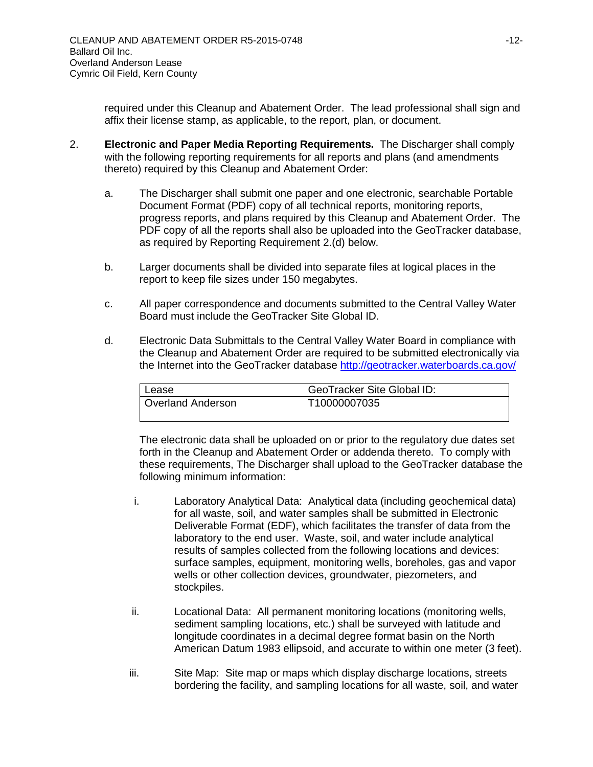required under this Cleanup and Abatement Order. The lead professional shall sign and affix their license stamp, as applicable, to the report, plan, or document.

- 2. **Electronic and Paper Media Reporting Requirements.** The Discharger shall comply with the following reporting requirements for all reports and plans (and amendments thereto) required by this Cleanup and Abatement Order:
	- a. The Discharger shall submit one paper and one electronic, searchable Portable Document Format (PDF) copy of all technical reports, monitoring reports, progress reports, and plans required by this Cleanup and Abatement Order. The PDF copy of all the reports shall also be uploaded into the GeoTracker database, as required by Reporting Requirement 2.(d) below.
	- b. Larger documents shall be divided into separate files at logical places in the report to keep file sizes under 150 megabytes.
	- c. All paper correspondence and documents submitted to the Central Valley Water Board must include the GeoTracker Site Global ID.
	- d. Electronic Data Submittals to the Central Valley Water Board in compliance with the Cleanup and Abatement Order are required to be submitted electronically via the Internet into the GeoTracker database<http://geotracker.waterboards.ca.gov/>

| l Lease           | <b>GeoTracker Site Global ID:</b> |  |
|-------------------|-----------------------------------|--|
| Overland Anderson | T10000007035                      |  |

The electronic data shall be uploaded on or prior to the regulatory due dates set forth in the Cleanup and Abatement Order or addenda thereto. To comply with these requirements, The Discharger shall upload to the GeoTracker database the following minimum information:

- i. Laboratory Analytical Data: Analytical data (including geochemical data) for all waste, soil, and water samples shall be submitted in Electronic Deliverable Format (EDF), which facilitates the transfer of data from the laboratory to the end user. Waste, soil, and water include analytical results of samples collected from the following locations and devices: surface samples, equipment, monitoring wells, boreholes, gas and vapor wells or other collection devices, groundwater, piezometers, and stockpiles.
- ii. Locational Data: All permanent monitoring locations (monitoring wells, sediment sampling locations, etc.) shall be surveyed with latitude and longitude coordinates in a decimal degree format basin on the North American Datum 1983 ellipsoid, and accurate to within one meter (3 feet).
- iii. Site Map: Site map or maps which display discharge locations, streets bordering the facility, and sampling locations for all waste, soil, and water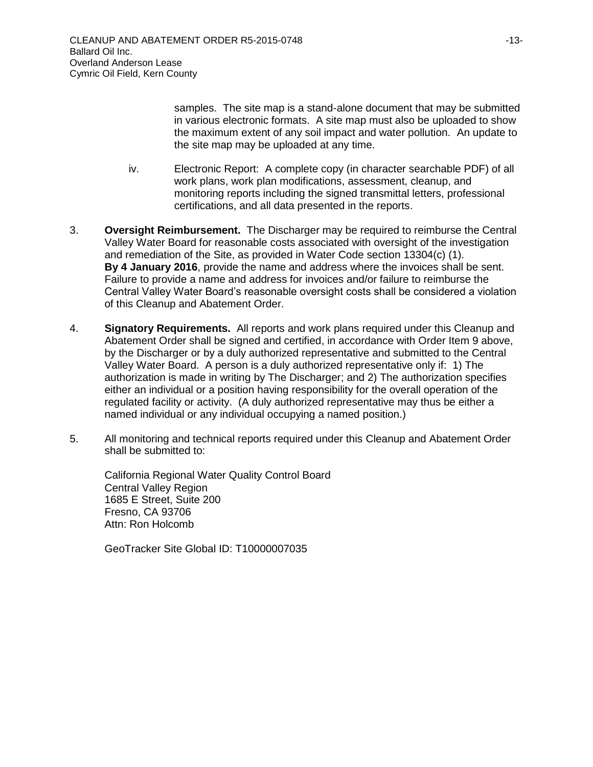samples. The site map is a stand-alone document that may be submitted in various electronic formats. A site map must also be uploaded to show the maximum extent of any soil impact and water pollution. An update to the site map may be uploaded at any time.

- iv. Electronic Report: A complete copy (in character searchable PDF) of all work plans, work plan modifications, assessment, cleanup, and monitoring reports including the signed transmittal letters, professional certifications, and all data presented in the reports.
- 3. **Oversight Reimbursement.** The Discharger may be required to reimburse the Central Valley Water Board for reasonable costs associated with oversight of the investigation and remediation of the Site, as provided in Water Code section 13304(c) (1). **By 4 January 2016**, provide the name and address where the invoices shall be sent. Failure to provide a name and address for invoices and/or failure to reimburse the Central Valley Water Board's reasonable oversight costs shall be considered a violation of this Cleanup and Abatement Order.
- 4. **Signatory Requirements.** All reports and work plans required under this Cleanup and Abatement Order shall be signed and certified, in accordance with Order Item 9 above, by the Discharger or by a duly authorized representative and submitted to the Central Valley Water Board. A person is a duly authorized representative only if: 1) The authorization is made in writing by The Discharger; and 2) The authorization specifies either an individual or a position having responsibility for the overall operation of the regulated facility or activity. (A duly authorized representative may thus be either a named individual or any individual occupying a named position.)
- 5. All monitoring and technical reports required under this Cleanup and Abatement Order shall be submitted to:

California Regional Water Quality Control Board Central Valley Region 1685 E Street, Suite 200 Fresno, CA 93706 Attn: Ron Holcomb

GeoTracker Site Global ID: T10000007035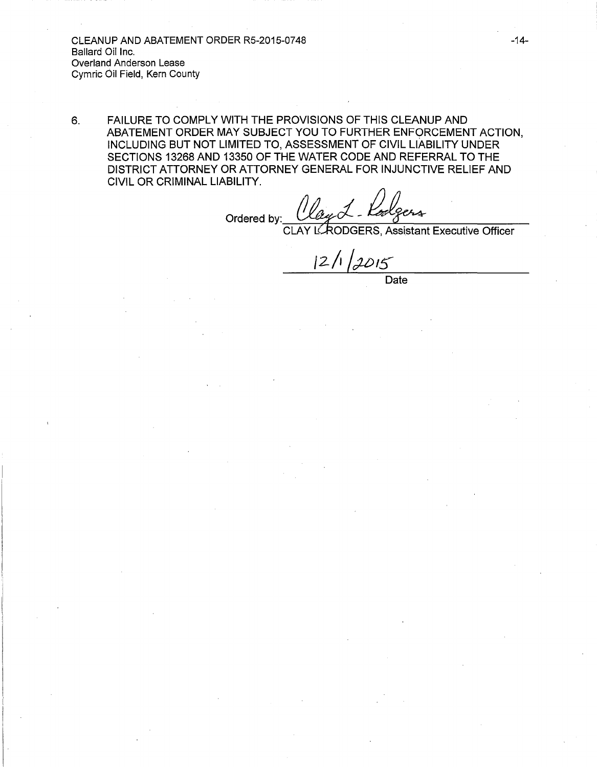CLEANUP AND ABATEMENT ORDER RS-2015-0748 Ballard Oil Inc. Overland Anderson Lease Cymric Oil Field, Kern County

6. FAILURE TO COMPLY WITH THE PROVISIONS OF THIS CLEANUP AND ABATEMENT ORDER MAY SUBJECT YOU TO FURTHER ENFORCEMENT ACTION, INCLUDING BUT NOT LIMITED TO, ASSESSMENT OF CIVIL LIABILITY UNDER SECTIONS 13268 AND 13350 OF THE WATER CODE AND REFERRAL TO THE DISTRICT ATTORNEY OR ATTORNEY GENERAL FOR INJUNCTIVE RELIEF AND CIVIL OR CRIMINAL LIABILITY.

Ordered by:  $\alpha$ ay 1 - Radgers<br>ERODGERS, Assistant Executive Officer

CLAY

 $12/1/2015$ Date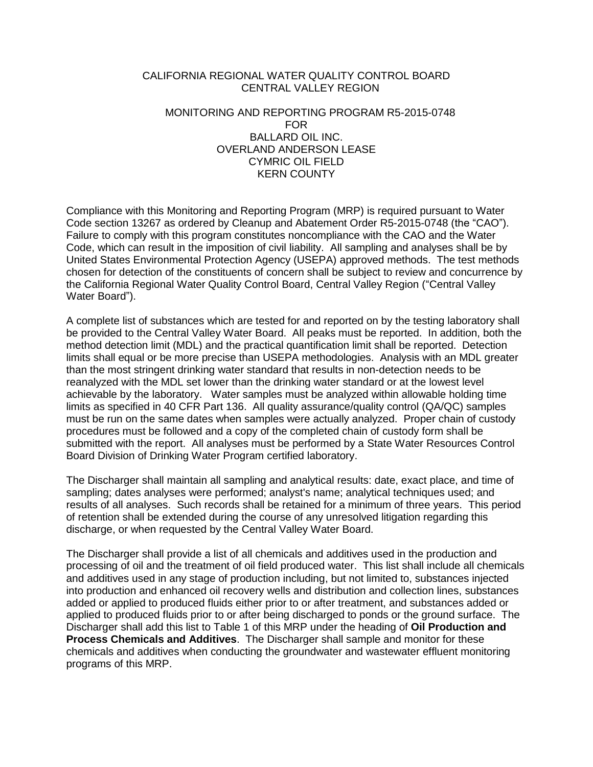### CALIFORNIA REGIONAL WATER QUALITY CONTROL BOARD CENTRAL VALLEY REGION

### MONITORING AND REPORTING PROGRAM R5-2015-0748 FOR BALLARD OIL INC. OVERLAND ANDERSON LEASE CYMRIC OIL FIELD KERN COUNTY

Compliance with this Monitoring and Reporting Program (MRP) is required pursuant to Water Code section 13267 as ordered by Cleanup and Abatement Order R5-2015-0748 (the "CAO"). Failure to comply with this program constitutes noncompliance with the CAO and the Water Code, which can result in the imposition of civil liability. All sampling and analyses shall be by United States Environmental Protection Agency (USEPA) approved methods. The test methods chosen for detection of the constituents of concern shall be subject to review and concurrence by the California Regional Water Quality Control Board, Central Valley Region ("Central Valley Water Board").

A complete list of substances which are tested for and reported on by the testing laboratory shall be provided to the Central Valley Water Board. All peaks must be reported. In addition, both the method detection limit (MDL) and the practical quantification limit shall be reported. Detection limits shall equal or be more precise than USEPA methodologies. Analysis with an MDL greater than the most stringent drinking water standard that results in non-detection needs to be reanalyzed with the MDL set lower than the drinking water standard or at the lowest level achievable by the laboratory. Water samples must be analyzed within allowable holding time limits as specified in 40 CFR Part 136. All quality assurance/quality control (QA/QC) samples must be run on the same dates when samples were actually analyzed. Proper chain of custody procedures must be followed and a copy of the completed chain of custody form shall be submitted with the report. All analyses must be performed by a State Water Resources Control Board Division of Drinking Water Program certified laboratory.

The Discharger shall maintain all sampling and analytical results: date, exact place, and time of sampling; dates analyses were performed; analyst's name; analytical techniques used; and results of all analyses. Such records shall be retained for a minimum of three years. This period of retention shall be extended during the course of any unresolved litigation regarding this discharge, or when requested by the Central Valley Water Board.

The Discharger shall provide a list of all chemicals and additives used in the production and processing of oil and the treatment of oil field produced water. This list shall include all chemicals and additives used in any stage of production including, but not limited to, substances injected into production and enhanced oil recovery wells and distribution and collection lines, substances added or applied to produced fluids either prior to or after treatment, and substances added or applied to produced fluids prior to or after being discharged to ponds or the ground surface. The Discharger shall add this list to Table 1 of this MRP under the heading of **Oil Production and Process Chemicals and Additives**. The Discharger shall sample and monitor for these chemicals and additives when conducting the groundwater and wastewater effluent monitoring programs of this MRP.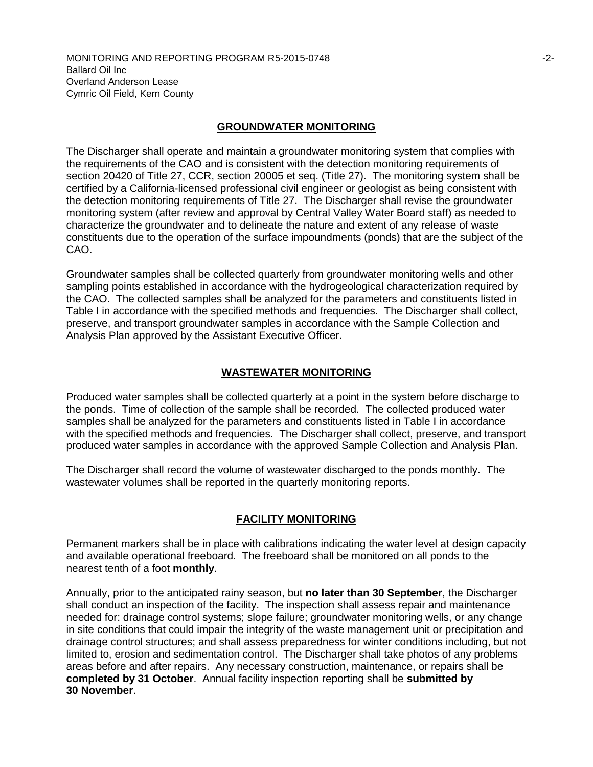### **GROUNDWATER MONITORING**

The Discharger shall operate and maintain a groundwater monitoring system that complies with the requirements of the CAO and is consistent with the detection monitoring requirements of section 20420 of Title 27, CCR, section 20005 et seq. (Title 27). The monitoring system shall be certified by a California-licensed professional civil engineer or geologist as being consistent with the detection monitoring requirements of Title 27. The Discharger shall revise the groundwater monitoring system (after review and approval by Central Valley Water Board staff) as needed to characterize the groundwater and to delineate the nature and extent of any release of waste constituents due to the operation of the surface impoundments (ponds) that are the subject of the CAO.

Groundwater samples shall be collected quarterly from groundwater monitoring wells and other sampling points established in accordance with the hydrogeological characterization required by the CAO. The collected samples shall be analyzed for the parameters and constituents listed in Table I in accordance with the specified methods and frequencies. The Discharger shall collect, preserve, and transport groundwater samples in accordance with the Sample Collection and Analysis Plan approved by the Assistant Executive Officer.

### **WASTEWATER MONITORING**

Produced water samples shall be collected quarterly at a point in the system before discharge to the ponds. Time of collection of the sample shall be recorded. The collected produced water samples shall be analyzed for the parameters and constituents listed in Table I in accordance with the specified methods and frequencies. The Discharger shall collect, preserve, and transport produced water samples in accordance with the approved Sample Collection and Analysis Plan.

The Discharger shall record the volume of wastewater discharged to the ponds monthly. The wastewater volumes shall be reported in the quarterly monitoring reports.

## **FACILITY MONITORING**

Permanent markers shall be in place with calibrations indicating the water level at design capacity and available operational freeboard. The freeboard shall be monitored on all ponds to the nearest tenth of a foot **monthly**.

Annually, prior to the anticipated rainy season, but **no later than 30 September**, the Discharger shall conduct an inspection of the facility. The inspection shall assess repair and maintenance needed for: drainage control systems; slope failure; groundwater monitoring wells, or any change in site conditions that could impair the integrity of the waste management unit or precipitation and drainage control structures; and shall assess preparedness for winter conditions including, but not limited to, erosion and sedimentation control. The Discharger shall take photos of any problems areas before and after repairs. Any necessary construction, maintenance, or repairs shall be **completed by 31 October**. Annual facility inspection reporting shall be **submitted by 30 November**.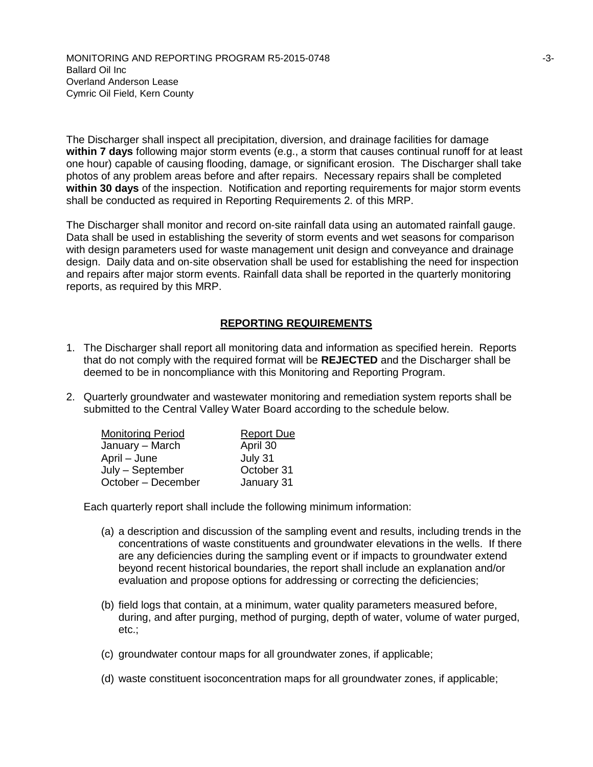The Discharger shall inspect all precipitation, diversion, and drainage facilities for damage **within 7 days** following major storm events (e.g., a storm that causes continual runoff for at least one hour) capable of causing flooding, damage, or significant erosion. The Discharger shall take photos of any problem areas before and after repairs. Necessary repairs shall be completed **within 30 days** of the inspection. Notification and reporting requirements for major storm events shall be conducted as required in Reporting Requirements 2. of this MRP.

The Discharger shall monitor and record on-site rainfall data using an automated rainfall gauge. Data shall be used in establishing the severity of storm events and wet seasons for comparison with design parameters used for waste management unit design and conveyance and drainage design. Daily data and on-site observation shall be used for establishing the need for inspection and repairs after major storm events. Rainfall data shall be reported in the quarterly monitoring reports, as required by this MRP.

## **REPORTING REQUIREMENTS**

- 1. The Discharger shall report all monitoring data and information as specified herein. Reports that do not comply with the required format will be **REJECTED** and the Discharger shall be deemed to be in noncompliance with this Monitoring and Reporting Program.
- 2. Quarterly groundwater and wastewater monitoring and remediation system reports shall be submitted to the Central Valley Water Board according to the schedule below.

| <b>Monitoring Period</b> | <b>Report Due</b> |
|--------------------------|-------------------|
| January - March          | April 30          |
| April – June             | July 31           |
| July - September         | October 31        |
| October - December       | January 31        |

Each quarterly report shall include the following minimum information:

- (a) a description and discussion of the sampling event and results, including trends in the concentrations of waste constituents and groundwater elevations in the wells. If there are any deficiencies during the sampling event or if impacts to groundwater extend beyond recent historical boundaries, the report shall include an explanation and/or evaluation and propose options for addressing or correcting the deficiencies;
- (b) field logs that contain, at a minimum, water quality parameters measured before, during, and after purging, method of purging, depth of water, volume of water purged, etc.;
- (c) groundwater contour maps for all groundwater zones, if applicable;
- (d) waste constituent isoconcentration maps for all groundwater zones, if applicable;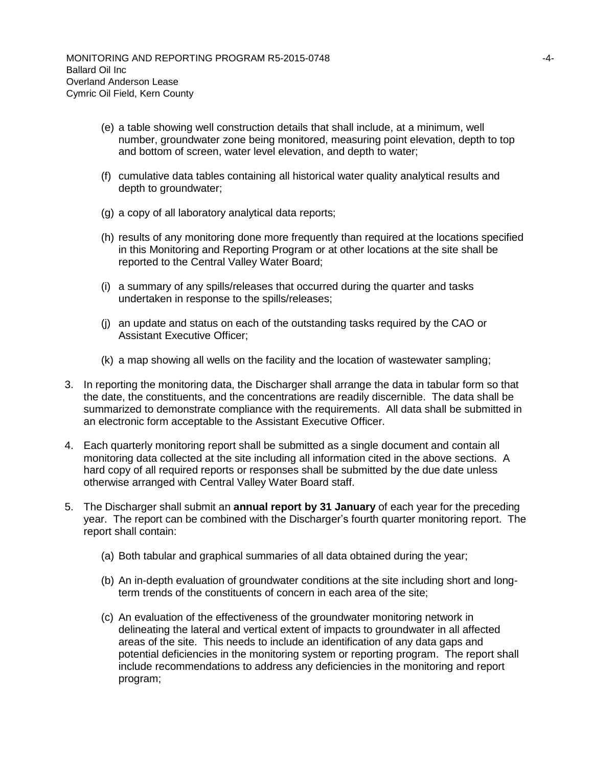- (e) a table showing well construction details that shall include, at a minimum, well number, groundwater zone being monitored, measuring point elevation, depth to top and bottom of screen, water level elevation, and depth to water;
- (f) cumulative data tables containing all historical water quality analytical results and depth to groundwater;
- (g) a copy of all laboratory analytical data reports;
- (h) results of any monitoring done more frequently than required at the locations specified in this Monitoring and Reporting Program or at other locations at the site shall be reported to the Central Valley Water Board;
- (i) a summary of any spills/releases that occurred during the quarter and tasks undertaken in response to the spills/releases;
- (j) an update and status on each of the outstanding tasks required by the CAO or Assistant Executive Officer;
- (k) a map showing all wells on the facility and the location of wastewater sampling;
- 3. In reporting the monitoring data, the Discharger shall arrange the data in tabular form so that the date, the constituents, and the concentrations are readily discernible. The data shall be summarized to demonstrate compliance with the requirements. All data shall be submitted in an electronic form acceptable to the Assistant Executive Officer.
- 4. Each quarterly monitoring report shall be submitted as a single document and contain all monitoring data collected at the site including all information cited in the above sections. A hard copy of all required reports or responses shall be submitted by the due date unless otherwise arranged with Central Valley Water Board staff.
- 5. The Discharger shall submit an **annual report by 31 January** of each year for the preceding year. The report can be combined with the Discharger's fourth quarter monitoring report. The report shall contain:
	- (a) Both tabular and graphical summaries of all data obtained during the year;
	- (b) An in-depth evaluation of groundwater conditions at the site including short and longterm trends of the constituents of concern in each area of the site;
	- (c) An evaluation of the effectiveness of the groundwater monitoring network in delineating the lateral and vertical extent of impacts to groundwater in all affected areas of the site. This needs to include an identification of any data gaps and potential deficiencies in the monitoring system or reporting program. The report shall include recommendations to address any deficiencies in the monitoring and report program;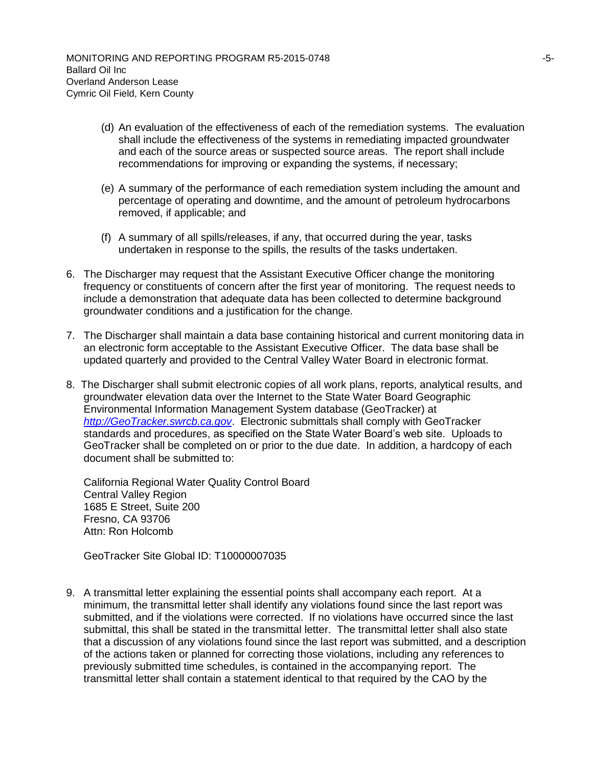- (d) An evaluation of the effectiveness of each of the remediation systems. The evaluation shall include the effectiveness of the systems in remediating impacted groundwater and each of the source areas or suspected source areas. The report shall include recommendations for improving or expanding the systems, if necessary;
- (e) A summary of the performance of each remediation system including the amount and percentage of operating and downtime, and the amount of petroleum hydrocarbons removed, if applicable; and
- (f) A summary of all spills/releases, if any, that occurred during the year, tasks undertaken in response to the spills, the results of the tasks undertaken.
- 6. The Discharger may request that the Assistant Executive Officer change the monitoring frequency or constituents of concern after the first year of monitoring. The request needs to include a demonstration that adequate data has been collected to determine background groundwater conditions and a justification for the change.
- 7. The Discharger shall maintain a data base containing historical and current monitoring data in an electronic form acceptable to the Assistant Executive Officer. The data base shall be updated quarterly and provided to the Central Valley Water Board in electronic format.
- 8. The Discharger shall submit electronic copies of all work plans, reports, analytical results, and groundwater elevation data over the Internet to the State Water Board Geographic Environmental Information Management System database (GeoTracker) at *[http://GeoTracker.swrcb.ca.gov](http://geotracker.swrcb.ca.gov/)*. Electronic submittals shall comply with GeoTracker standards and procedures, as specified on the State Water Board's web site. Uploads to GeoTracker shall be completed on or prior to the due date. In addition, a hardcopy of each document shall be submitted to:

California Regional Water Quality Control Board Central Valley Region 1685 E Street, Suite 200 Fresno, CA 93706 Attn: Ron Holcomb

GeoTracker Site Global ID: T10000007035

9. A transmittal letter explaining the essential points shall accompany each report. At a minimum, the transmittal letter shall identify any violations found since the last report was submitted, and if the violations were corrected. If no violations have occurred since the last submittal, this shall be stated in the transmittal letter. The transmittal letter shall also state that a discussion of any violations found since the last report was submitted, and a description of the actions taken or planned for correcting those violations, including any references to previously submitted time schedules, is contained in the accompanying report. The transmittal letter shall contain a statement identical to that required by the CAO by the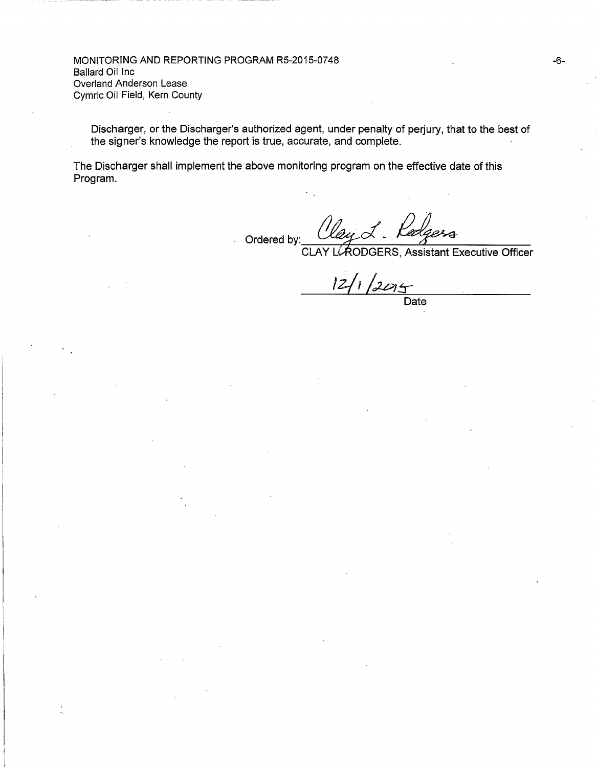MONITORING AND REPORTING PROGRAM RS-2015-0748 Ballard Oil Inc Overland Anderson Lease Cymric Oil Field, Kern County

Discharger, or the Discharger's authorized agent, under penalty of perjury, that to the best of the signer's knowledge the report is true, accurate, and complete.

The Discharger shall implement the above monitoring program on the effective date of this Program.

Ordered by:  $\alpha$ ung $\alpha$ . lay L. Ladgess<br>LAODGERS, Assistant Executive Officer

**CLAY** 

-6-

 $12/1/2015$  Date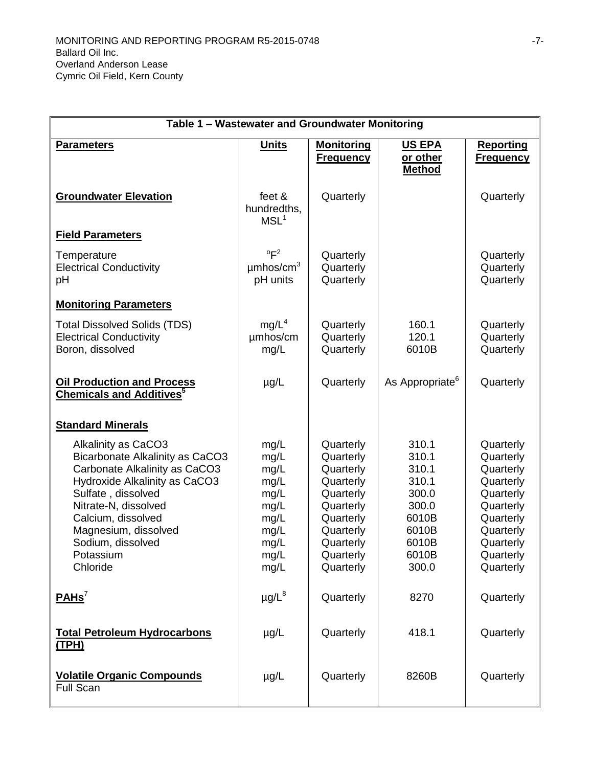| Table 1 - Wastewater and Groundwater Monitoring                                                                                                                                                                                                                           |                                                                                      |                                                                                                                                             |                                                                                                 |                                                                                                                                             |
|---------------------------------------------------------------------------------------------------------------------------------------------------------------------------------------------------------------------------------------------------------------------------|--------------------------------------------------------------------------------------|---------------------------------------------------------------------------------------------------------------------------------------------|-------------------------------------------------------------------------------------------------|---------------------------------------------------------------------------------------------------------------------------------------------|
| <b>Parameters</b>                                                                                                                                                                                                                                                         | <b>Units</b>                                                                         | <b>Monitoring</b><br><b>Frequency</b>                                                                                                       | <b>US EPA</b><br>or other<br><b>Method</b>                                                      | <b>Reporting</b><br><u>Frequency</u>                                                                                                        |
| <b>Groundwater Elevation</b>                                                                                                                                                                                                                                              | feet &<br>hundredths,<br>MSL <sup>1</sup>                                            | Quarterly                                                                                                                                   |                                                                                                 | Quarterly                                                                                                                                   |
| <b>Field Parameters</b>                                                                                                                                                                                                                                                   |                                                                                      |                                                                                                                                             |                                                                                                 |                                                                                                                                             |
| Temperature<br><b>Electrical Conductivity</b><br>рH                                                                                                                                                                                                                       | $\mathrm{P}^2$<br>$\mu$ mhos/cm <sup>3</sup><br>pH units                             | Quarterly<br>Quarterly<br>Quarterly                                                                                                         |                                                                                                 | Quarterly<br>Quarterly<br>Quarterly                                                                                                         |
| <b>Monitoring Parameters</b>                                                                                                                                                                                                                                              |                                                                                      |                                                                                                                                             |                                                                                                 |                                                                                                                                             |
| <b>Total Dissolved Solids (TDS)</b><br><b>Electrical Conductivity</b><br>Boron, dissolved                                                                                                                                                                                 | mg/L <sup>4</sup><br>umhos/cm<br>mg/L                                                | Quarterly<br>Quarterly<br>Quarterly                                                                                                         | 160.1<br>120.1<br>6010B                                                                         | Quarterly<br>Quarterly<br>Quarterly                                                                                                         |
| <b>Oil Production and Process</b><br><b>Chemicals and Additives<sup>5</sup></b>                                                                                                                                                                                           | $\mu$ g/L                                                                            | Quarterly                                                                                                                                   | As Appropriate <sup>6</sup>                                                                     | Quarterly                                                                                                                                   |
| <b>Standard Minerals</b>                                                                                                                                                                                                                                                  |                                                                                      |                                                                                                                                             |                                                                                                 |                                                                                                                                             |
| Alkalinity as CaCO3<br><b>Bicarbonate Alkalinity as CaCO3</b><br>Carbonate Alkalinity as CaCO3<br>Hydroxide Alkalinity as CaCO3<br>Sulfate, dissolved<br>Nitrate-N, dissolved<br>Calcium, dissolved<br>Magnesium, dissolved<br>Sodium, dissolved<br>Potassium<br>Chloride | mg/L<br>mg/L<br>mg/L<br>mg/L<br>mg/L<br>mg/L<br>mg/L<br>mg/L<br>mg/L<br>mg/L<br>mg/L | Quarterly<br>Quarterly<br>Quarterly<br>Quarterly<br>Quarterly<br>Quarterly<br>Quarterly<br>Quarterly<br>Quarterly<br>Quarterly<br>Quarterly | 310.1<br>310.1<br>310.1<br>310.1<br>300.0<br>300.0<br>6010B<br>6010B<br>6010B<br>6010B<br>300.0 | Quarterly<br>Quarterly<br>Quarterly<br>Quarterly<br>Quarterly<br>Quarterly<br>Quarterly<br>Quarterly<br>Quarterly<br>Quarterly<br>Quarterly |
| PAHS <sup>7</sup>                                                                                                                                                                                                                                                         | $\mu$ g/L $^8$                                                                       | Quarterly                                                                                                                                   | 8270                                                                                            | Quarterly                                                                                                                                   |
| <b>Total Petroleum Hydrocarbons</b><br><u>(TPH)</u>                                                                                                                                                                                                                       | $\mu$ g/L                                                                            | Quarterly                                                                                                                                   | 418.1                                                                                           | Quarterly                                                                                                                                   |
| <b>Volatile Organic Compounds</b><br>Full Scan                                                                                                                                                                                                                            | $\mu$ g/L                                                                            | Quarterly                                                                                                                                   | 8260B                                                                                           | Quarterly                                                                                                                                   |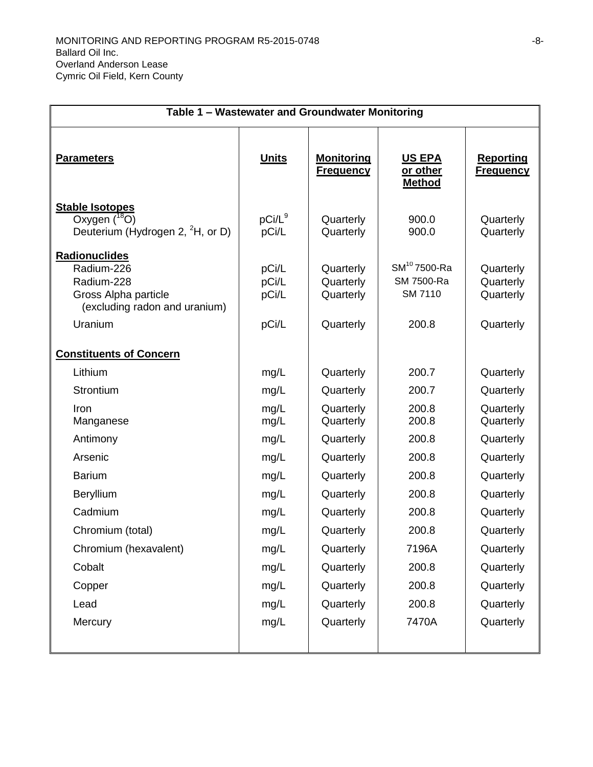| Table 1 - Wastewater and Groundwater Monitoring                                                               |                                  |                                                  |                                                     |                                                  |
|---------------------------------------------------------------------------------------------------------------|----------------------------------|--------------------------------------------------|-----------------------------------------------------|--------------------------------------------------|
| <b>Parameters</b>                                                                                             | <u>Units</u>                     | <u>Monitoring</u><br><b>Frequency</b>            | <b>US EPA</b><br>or other<br><b>Method</b>          | <b>Reporting</b><br><b>Frequency</b>             |
| <b>Stable Isotopes</b><br>Oxygen $(^{18}O)$<br>Deuterium (Hydrogen 2, ${}^{2}H$ , or D)                       | $pCi/L^9$<br>pCi/L               | Quarterly<br>Quarterly                           | 900.0<br>900.0                                      | Quarterly<br>Quarterly                           |
| Radionuclides<br>Radium-226<br>Radium-228<br>Gross Alpha particle<br>(excluding radon and uranium)<br>Uranium | pCi/L<br>pCi/L<br>pCi/L<br>pCi/L | Quarterly<br>Quarterly<br>Quarterly<br>Quarterly | $SM^{10}$ 7500-Ra<br>SM 7500-Ra<br>SM 7110<br>200.8 | Quarterly<br>Quarterly<br>Quarterly<br>Quarterly |
| <b>Constituents of Concern</b>                                                                                |                                  |                                                  |                                                     |                                                  |
| Lithium                                                                                                       | mg/L                             | Quarterly                                        | 200.7                                               | Quarterly                                        |
| Strontium                                                                                                     | mg/L                             | Quarterly                                        | 200.7                                               | Quarterly                                        |
| Iron<br>Manganese                                                                                             | mg/L<br>mg/L                     | Quarterly<br>Quarterly                           | 200.8<br>200.8                                      | Quarterly<br>Quarterly                           |
| Antimony                                                                                                      | mg/L                             | Quarterly                                        | 200.8                                               | Quarterly                                        |
| Arsenic                                                                                                       | mg/L                             | Quarterly                                        | 200.8                                               | Quarterly                                        |
| <b>Barium</b>                                                                                                 | mg/L                             | Quarterly                                        | 200.8                                               | Quarterly                                        |
| Beryllium                                                                                                     | mg/L                             | Quarterly                                        | 200.8                                               | Quarterly                                        |
| Cadmium                                                                                                       | mg/L                             | Quarterly                                        | 200.8                                               | Quarterly                                        |
| Chromium (total)                                                                                              | mg/L                             | Quarterly                                        | 200.8                                               | Quarterly                                        |
| Chromium (hexavalent)                                                                                         | mg/L                             | Quarterly                                        | 7196A                                               | Quarterly                                        |
| Cobalt                                                                                                        | mg/L                             | Quarterly                                        | 200.8                                               | Quarterly                                        |
| Copper                                                                                                        | mg/L                             | Quarterly                                        | 200.8                                               | Quarterly                                        |
| Lead                                                                                                          | mg/L                             | Quarterly                                        | 200.8                                               | Quarterly                                        |
| Mercury                                                                                                       | mg/L                             | Quarterly                                        | 7470A                                               | Quarterly                                        |